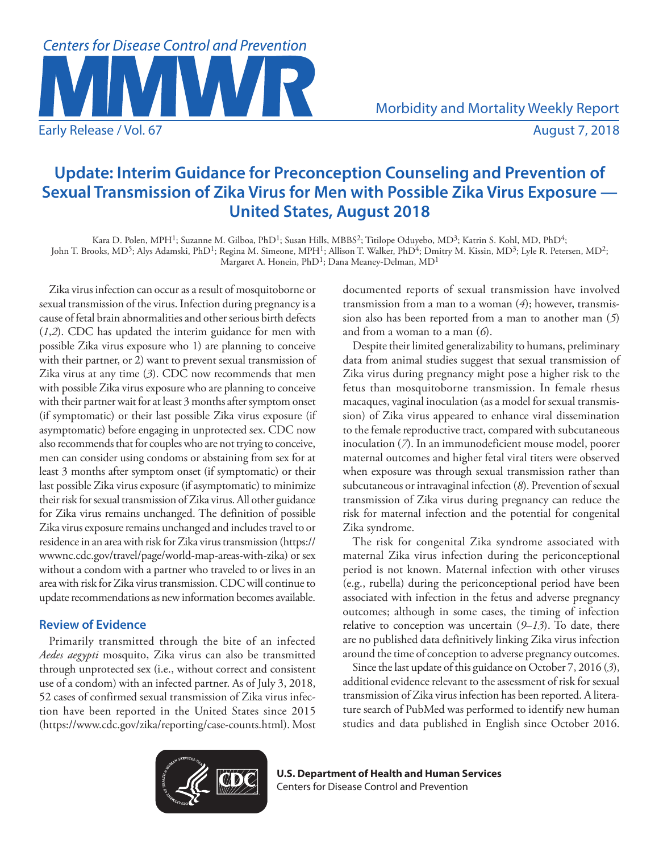

# **Update: Interim Guidance for Preconception Counseling and Prevention of Sexual Transmission of Zika Virus for Men with Possible Zika Virus Exposure — United States, August 2018**

Kara D. Polen, MPH1; Suzanne M. Gilboa, PhD1; Susan Hills, MBBS2; Titilope Oduyebo, MD3; Katrin S. Kohl, MD, PhD4; John T. Brooks, MD<sup>5</sup>; Alys Adamski, PhD<sup>1</sup>; Regina M. Simeone, MPH<sup>1</sup>; Allison T. Walker, PhD<sup>4</sup>; Dmitry M. Kissin, MD<sup>3</sup>; Lyle R. Petersen, MD<sup>2</sup>; Margaret A. Honein, PhD<sup>1</sup>; Dana Meaney-Delman, MD<sup>1</sup>

Zika virus infection can occur as a result of mosquitoborne or sexual transmission of the virus. Infection during pregnancy is a cause of fetal brain abnormalities and other serious birth defects (*1*,*2*). CDC has updated the interim guidance for men with possible Zika virus exposure who 1) are planning to conceive with their partner, or 2) want to prevent sexual transmission of Zika virus at any time (*3*). CDC now recommends that men with possible Zika virus exposure who are planning to conceive with their partner wait for at least 3 months after symptom onset (if symptomatic) or their last possible Zika virus exposure (if asymptomatic) before engaging in unprotected sex. CDC now also recommends that for couples who are not trying to conceive, men can consider using condoms or abstaining from sex for at least 3 months after symptom onset (if symptomatic) or their last possible Zika virus exposure (if asymptomatic) to minimize their risk for sexual transmission of Zika virus. All other guidance for Zika virus remains unchanged. The definition of possible Zika virus exposure remains unchanged and includes travel to or residence in an area with risk for Zika virus transmission [\(https://](https://wwwnc.cdc.gov/travel/page/world-map-areas-with-zika) [wwwnc.cdc.gov/travel/page/world-map-areas-with-zika](https://wwwnc.cdc.gov/travel/page/world-map-areas-with-zika)) or sex without a condom with a partner who traveled to or lives in an area with risk for Zika virus transmission. CDC will continue to update recommendations as new information becomes available.

## **Review of Evidence**

Primarily transmitted through the bite of an infected *Aedes aegypti* mosquito, Zika virus can also be transmitted through unprotected sex (i.e., without correct and consistent use of a condom) with an infected partner. As of July 3, 2018, 52 cases of confirmed sexual transmission of Zika virus infection have been reported in the United States since 2015 (<https://www.cdc.gov/zika/reporting/case-counts.html>). Most documented reports of sexual transmission have involved transmission from a man to a woman (*4*); however, transmission also has been reported from a man to another man (*5*) and from a woman to a man (*6*).

Despite their limited generalizability to humans, preliminary data from animal studies suggest that sexual transmission of Zika virus during pregnancy might pose a higher risk to the fetus than mosquitoborne transmission. In female rhesus macaques, vaginal inoculation (as a model for sexual transmission) of Zika virus appeared to enhance viral dissemination to the female reproductive tract, compared with subcutaneous inoculation (*7*). In an immunodeficient mouse model, poorer maternal outcomes and higher fetal viral titers were observed when exposure was through sexual transmission rather than subcutaneous or intravaginal infection (*8*). Prevention of sexual transmission of Zika virus during pregnancy can reduce the risk for maternal infection and the potential for congenital Zika syndrome.

The risk for congenital Zika syndrome associated with maternal Zika virus infection during the periconceptional period is not known. Maternal infection with other viruses (e.g., rubella) during the periconceptional period have been associated with infection in the fetus and adverse pregnancy outcomes; although in some cases, the timing of infection relative to conception was uncertain (*9*–*13*). To date, there are no published data definitively linking Zika virus infection around the time of conception to adverse pregnancy outcomes.

Since the last update of this guidance on October 7, 2016 (*3*), additional evidence relevant to the assessment of risk for sexual transmission of Zika virus infection has been reported. A literature search of PubMed was performed to identify new human studies and data published in English since October 2016.



**U.S. Department of Health and Human Services** Centers for Disease Control and Prevention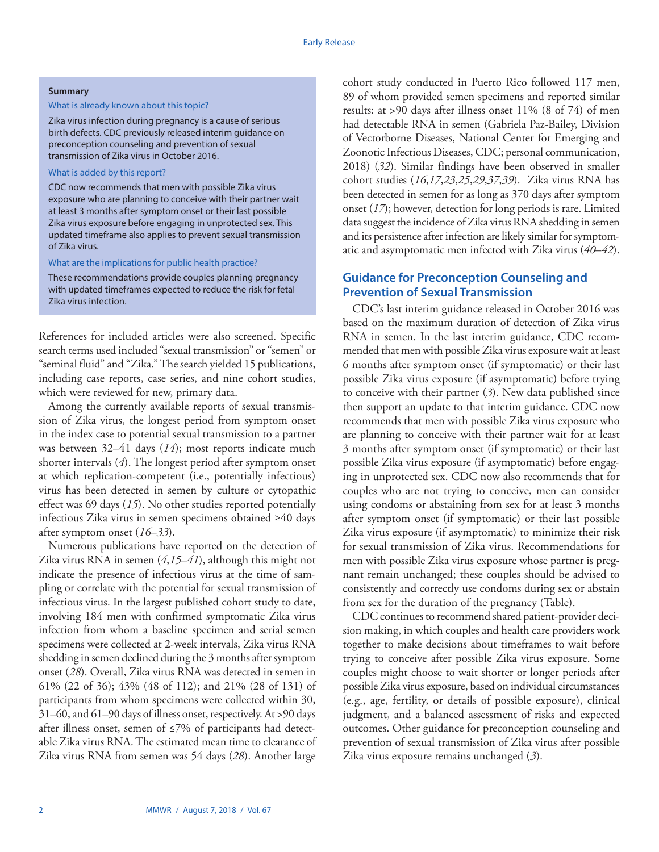#### **Summary**

#### What is already known about this topic?

Zika virus infection during pregnancy is a cause of serious birth defects. CDC previously released interim guidance on preconception counseling and prevention of sexual transmission of Zika virus in October 2016.

#### What is added by this report?

CDC now recommends that men with possible Zika virus exposure who are planning to conceive with their partner wait at least 3 months after symptom onset or their last possible Zika virus exposure before engaging in unprotected sex. This updated timeframe also applies to prevent sexual transmission of Zika virus.

#### What are the implications for public health practice?

These recommendations provide couples planning pregnancy with updated timeframes expected to reduce the risk for fetal Zika virus infection.

References for included articles were also screened. Specific search terms used included "sexual transmission" or "semen" or "seminal fluid" and "Zika." The search yielded 15 publications, including case reports, case series, and nine cohort studies, which were reviewed for new, primary data.

Among the currently available reports of sexual transmission of Zika virus, the longest period from symptom onset in the index case to potential sexual transmission to a partner was between 32–41 days (*14*); most reports indicate much shorter intervals (*4*). The longest period after symptom onset at which replication-competent (i.e., potentially infectious) virus has been detected in semen by culture or cytopathic effect was 69 days (*15*). No other studies reported potentially infectious Zika virus in semen specimens obtained ≥40 days after symptom onset (*16*–*33*).

Numerous publications have reported on the detection of Zika virus RNA in semen (*4*,*15*–*41*), although this might not indicate the presence of infectious virus at the time of sampling or correlate with the potential for sexual transmission of infectious virus. In the largest published cohort study to date, involving 184 men with confirmed symptomatic Zika virus infection from whom a baseline specimen and serial semen specimens were collected at 2-week intervals, Zika virus RNA shedding in semen declined during the 3 months after symptom onset (*28*). Overall, Zika virus RNA was detected in semen in 61% (22 of 36); 43% (48 of 112); and 21% (28 of 131) of participants from whom specimens were collected within 30, 31–60, and 61–90 days of illness onset, respectively. At >90 days after illness onset, semen of ≤7% of participants had detectable Zika virus RNA. The estimated mean time to clearance of Zika virus RNA from semen was 54 days (*28*). Another large

cohort study conducted in Puerto Rico followed 117 men, 89 of whom provided semen specimens and reported similar results: at >90 days after illness onset 11% (8 of 74) of men had detectable RNA in semen (Gabriela Paz-Bailey, Division of Vectorborne Diseases, National Center for Emerging and Zoonotic Infectious Diseases, CDC; personal communication, 2018) (*32*). Similar findings have been observed in smaller cohort studies (*16*,*17*,*23*,*25*,*29*,*37*,*39*). Zika virus RNA has been detected in semen for as long as 370 days after symptom onset (*17*); however, detection for long periods is rare. Limited data suggest the incidence of Zika virus RNA shedding in semen and its persistence after infection are likely similar for symptomatic and asymptomatic men infected with Zika virus (*40*–*42*).

# **Guidance for Preconception Counseling and Prevention of Sexual Transmission**

CDC's last interim guidance released in October 2016 was based on the maximum duration of detection of Zika virus RNA in semen. In the last interim guidance, CDC recommended that men with possible Zika virus exposure wait at least 6 months after symptom onset (if symptomatic) or their last possible Zika virus exposure (if asymptomatic) before trying to conceive with their partner (*3*). New data published since then support an update to that interim guidance. CDC now recommends that men with possible Zika virus exposure who are planning to conceive with their partner wait for at least 3 months after symptom onset (if symptomatic) or their last possible Zika virus exposure (if asymptomatic) before engaging in unprotected sex. CDC now also recommends that for couples who are not trying to conceive, men can consider using condoms or abstaining from sex for at least 3 months after symptom onset (if symptomatic) or their last possible Zika virus exposure (if asymptomatic) to minimize their risk for sexual transmission of Zika virus. Recommendations for men with possible Zika virus exposure whose partner is pregnant remain unchanged; these couples should be advised to consistently and correctly use condoms during sex or abstain from sex for the duration of the pregnancy (Table).

CDC continues to recommend shared patient-provider decision making, in which couples and health care providers work together to make decisions about timeframes to wait before trying to conceive after possible Zika virus exposure. Some couples might choose to wait shorter or longer periods after possible Zika virus exposure, based on individual circumstances (e.g., age, fertility, or details of possible exposure), clinical judgment, and a balanced assessment of risks and expected outcomes. Other guidance for preconception counseling and prevention of sexual transmission of Zika virus after possible Zika virus exposure remains unchanged (*3*).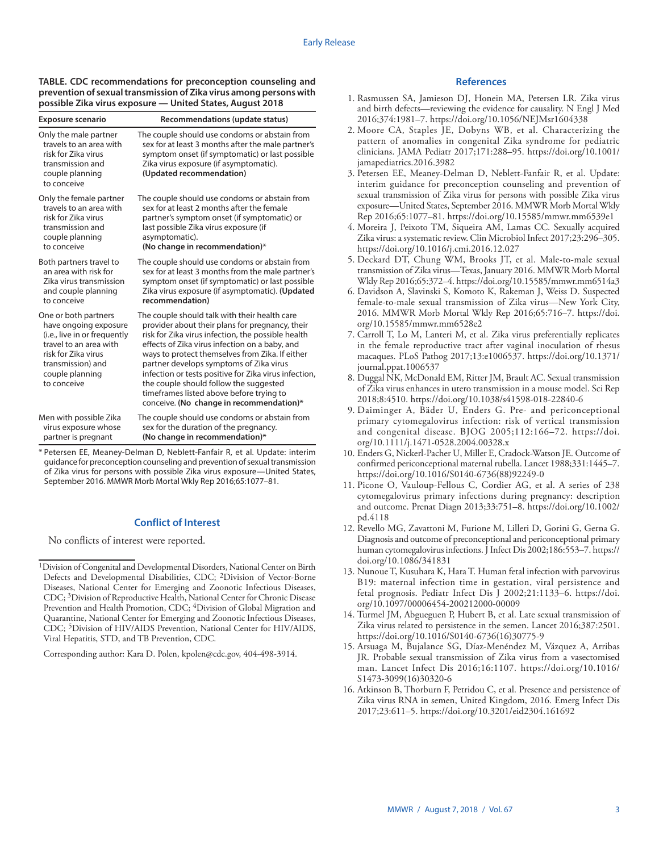**TABLE. CDC recommendations for preconception counseling and prevention of sexual transmission of Zika virus among persons with possible Zika virus exposure — United States, August 2018**

| <b>Exposure scenario</b>                                                                                                                                                              | Recommendations (update status)                                                                                                                                                                                                                                                                                                                                                                                                                                                                   |
|---------------------------------------------------------------------------------------------------------------------------------------------------------------------------------------|---------------------------------------------------------------------------------------------------------------------------------------------------------------------------------------------------------------------------------------------------------------------------------------------------------------------------------------------------------------------------------------------------------------------------------------------------------------------------------------------------|
| Only the male partner<br>travels to an area with<br>risk for Zika virus<br>transmission and<br>couple planning<br>to conceive                                                         | The couple should use condoms or abstain from<br>sex for at least 3 months after the male partner's<br>symptom onset (if symptomatic) or last possible<br>Zika virus exposure (if asymptomatic).<br>(Updated recommendation)                                                                                                                                                                                                                                                                      |
| Only the female partner                                                                                                                                                               | The couple should use condoms or abstain from                                                                                                                                                                                                                                                                                                                                                                                                                                                     |
| travels to an area with                                                                                                                                                               | sex for at least 2 months after the female                                                                                                                                                                                                                                                                                                                                                                                                                                                        |
| risk for Zika virus                                                                                                                                                                   | partner's symptom onset (if symptomatic) or                                                                                                                                                                                                                                                                                                                                                                                                                                                       |
| transmission and                                                                                                                                                                      | last possible Zika virus exposure (if                                                                                                                                                                                                                                                                                                                                                                                                                                                             |
| couple planning                                                                                                                                                                       | asymptomatic).                                                                                                                                                                                                                                                                                                                                                                                                                                                                                    |
| to conceive                                                                                                                                                                           | (No change in recommendation)*                                                                                                                                                                                                                                                                                                                                                                                                                                                                    |
| Both partners travel to                                                                                                                                                               | The couple should use condoms or abstain from                                                                                                                                                                                                                                                                                                                                                                                                                                                     |
| an area with risk for                                                                                                                                                                 | sex for at least 3 months from the male partner's                                                                                                                                                                                                                                                                                                                                                                                                                                                 |
| Zika virus transmission                                                                                                                                                               | symptom onset (if symptomatic) or last possible                                                                                                                                                                                                                                                                                                                                                                                                                                                   |
| and couple planning                                                                                                                                                                   | Zika virus exposure (if asymptomatic). (Updated                                                                                                                                                                                                                                                                                                                                                                                                                                                   |
| to conceive                                                                                                                                                                           | recommendation)                                                                                                                                                                                                                                                                                                                                                                                                                                                                                   |
| One or both partners<br>have ongoing exposure<br>(i.e., live in or frequently<br>travel to an area with<br>risk for Zika virus<br>transmission) and<br>couple planning<br>to conceive | The couple should talk with their health care<br>provider about their plans for pregnancy, their<br>risk for Zika virus infection, the possible health<br>effects of Zika virus infection on a baby, and<br>ways to protect themselves from Zika. If either<br>partner develops symptoms of Zika virus<br>infection or tests positive for Zika virus infection,<br>the couple should follow the suggested<br>timeframes listed above before trying to<br>conceive. (No change in recommendation)* |
| Men with possible Zika                                                                                                                                                                | The couple should use condoms or abstain from                                                                                                                                                                                                                                                                                                                                                                                                                                                     |
| virus exposure whose                                                                                                                                                                  | sex for the duration of the pregnancy.                                                                                                                                                                                                                                                                                                                                                                                                                                                            |
| partner is pregnant                                                                                                                                                                   | (No change in recommendation)*                                                                                                                                                                                                                                                                                                                                                                                                                                                                    |

\* Petersen EE, Meaney-Delman D, Neblett-Fanfair R, et al. Update: interim guidance for preconception counseling and prevention of sexual transmission of Zika virus for persons with possible Zika virus exposure—United States, September 2016. MMWR Morb Mortal Wkly Rep 2016;65:1077–81.

### **Conflict of Interest**

No conflicts of interest were reported.

Corresponding author: Kara D. Polen, [kpolen@cdc.gov,](mailto:kpolen@cdc.gov) 404-498-3914.

#### **References**

- 1. Rasmussen SA, Jamieson DJ, Honein MA, Petersen LR. Zika virus and birth defects—reviewing the evidence for causality. N Engl J Med 2016;374:1981–7. <https://doi.org/10.1056/NEJMsr1604338>
- 2. Moore CA, Staples JE, Dobyns WB, et al. Characterizing the pattern of anomalies in congenital Zika syndrome for pediatric clinicians. JAMA Pediatr 2017;171:288–95. [https://doi.org/10.1001/](https://doi.org/10.1001/jamapediatrics.2016.3982) [jamapediatrics.2016.3982](https://doi.org/10.1001/jamapediatrics.2016.3982)
- 3. Petersen EE, Meaney-Delman D, Neblett-Fanfair R, et al. Update: interim guidance for preconception counseling and prevention of sexual transmission of Zika virus for persons with possible Zika virus exposure—United States, September 2016. MMWR Morb Mortal Wkly Rep 2016;65:1077–81. <https://doi.org/10.15585/mmwr.mm6539e1>
- 4. Moreira J, Peixoto TM, Siqueira AM, Lamas CC. Sexually acquired Zika virus: a systematic review. Clin Microbiol Infect 2017;23:296–305. <https://doi.org/10.1016/j.cmi.2016.12.027>
- 5. Deckard DT, Chung WM, Brooks JT, et al. Male-to-male sexual transmission of Zika virus—Texas, January 2016. MMWR Morb Mortal Wkly Rep 2016;65:372–4.<https://doi.org/10.15585/mmwr.mm6514a3>
- 6. Davidson A, Slavinski S, Komoto K, Rakeman J, Weiss D. Suspected female-to-male sexual transmission of Zika virus—New York City, 2016. MMWR Morb Mortal Wkly Rep 2016;65:716–7. [https://doi.](https://doi.org/10.15585/mmwr.mm6528e2) [org/10.15585/mmwr.mm6528e2](https://doi.org/10.15585/mmwr.mm6528e2)
- 7. Carroll T, Lo M, Lanteri M, et al. Zika virus preferentially replicates in the female reproductive tract after vaginal inoculation of rhesus macaques. PLoS Pathog 2017;13:e1006537. [https://doi.org/10.1371/](https://doi.org/10.1371/journal.ppat.1006537) [journal.ppat.1006537](https://doi.org/10.1371/journal.ppat.1006537)
- 8. Duggal NK, McDonald EM, Ritter JM, Brault AC. Sexual transmission of Zika virus enhances in utero transmission in a mouse model. Sci Rep 2018;8:4510. <https://doi.org/10.1038/s41598-018-22840-6>
- 9. Daiminger A, Bäder U, Enders G. Pre- and periconceptional primary cytomegalovirus infection: risk of vertical transmission and congenital disease. BJOG 2005;112:166–72. [https://doi.](https://doi.org/10.1111/j.1471-0528.2004.00328.x) [org/10.1111/j.1471-0528.2004.00328.x](https://doi.org/10.1111/j.1471-0528.2004.00328.x)
- 10. Enders G, Nickerl-Pacher U, Miller E, Cradock-Watson JE. Outcome of confirmed periconceptional maternal rubella. Lancet 1988;331:1445–7. [https://doi.org/10.1016/S0140-6736\(88\)92249-0](https://doi.org/10.1016/S0140-6736(88)92249-0)
- 11. Picone O, Vauloup-Fellous C, Cordier AG, et al. A series of 238 cytomegalovirus primary infections during pregnancy: description and outcome. Prenat Diagn 2013;33:751–8. [https://doi.org/10.1002/](https://doi.org/10.1002/pd.4118) [pd.4118](https://doi.org/10.1002/pd.4118)
- 12. Revello MG, Zavattoni M, Furione M, Lilleri D, Gorini G, Gerna G. Diagnosis and outcome of preconceptional and periconceptional primary human cytomegalovirus infections. J Infect Dis 2002;186:553–7. [https://](https://doi.org/10.1086/341831) [doi.org/10.1086/341831](https://doi.org/10.1086/341831)
- 13. Nunoue T, Kusuhara K, Hara T. Human fetal infection with parvovirus B19: maternal infection time in gestation, viral persistence and fetal prognosis. Pediatr Infect Dis J 2002;21:1133–6. [https://doi.](https://doi.org/10.1097/00006454-200212000-00009) [org/10.1097/00006454-200212000-00009](https://doi.org/10.1097/00006454-200212000-00009)
- 14. Turmel JM, Abgueguen P, Hubert B, et al. Late sexual transmission of Zika virus related to persistence in the semen. Lancet 2016;387:2501. [https://doi.org/10.1016/S0140-6736\(16\)30775-9](https://doi.org/10.1016/S0140-6736(16)30775-9)
- 15. Arsuaga M, Bujalance SG, Díaz-Menéndez M, Vázquez A, Arribas JR. Probable sexual transmission of Zika virus from a vasectomised man. Lancet Infect Dis 2016;16:1107. [https://doi.org/10.1016/](https://doi.org/10.1016/S1473-3099(16)30320-6) [S1473-3099\(16\)30320-6](https://doi.org/10.1016/S1473-3099(16)30320-6)
- 16. Atkinson B, Thorburn F, Petridou C, et al. Presence and persistence of Zika virus RNA in semen, United Kingdom, 2016. Emerg Infect Dis 2017;23:611–5. <https://doi.org/10.3201/eid2304.161692>

<sup>1</sup>Division of Congenital and Developmental Disorders, National Center on Birth Defects and Developmental Disabilities, CDC; 2Division of Vector-Borne Diseases, National Center for Emerging and Zoonotic Infectious Diseases, CDC; 3Division of Reproductive Health, National Center for Chronic Disease Prevention and Health Promotion, CDC; <sup>4</sup>Division of Global Migration and Quarantine, National Center for Emerging and Zoonotic Infectious Diseases, CDC; 5Division of HIV/AIDS Prevention, National Center for HIV/AIDS, Viral Hepatitis, STD, and TB Prevention, CDC.